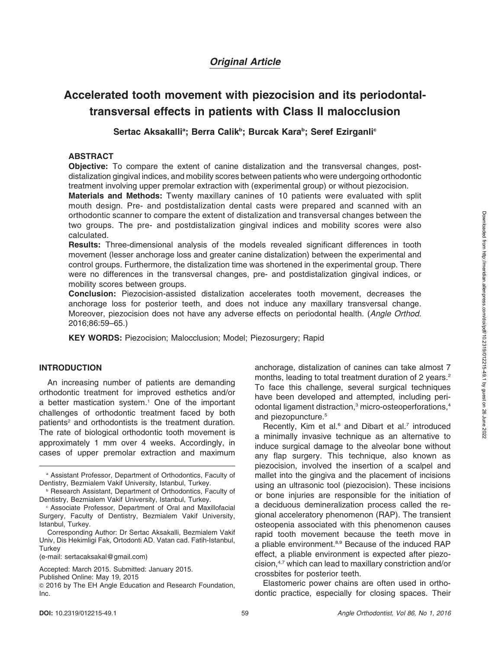# Original Article

# Accelerated tooth movement with piezocision and its periodontaltransversal effects in patients with Class II malocclusion

Sertac Aksakalliª; Berra Calikʰ; Burcak Karaʰ; Seref Ezirganli<sup>c</sup>

#### ABSTRACT

Objective: To compare the extent of canine distalization and the transversal changes, postdistalization gingival indices, and mobility scores between patients who were undergoing orthodontic treatment involving upper premolar extraction with (experimental group) or without piezocision.

Materials and Methods: Twenty maxillary canines of 10 patients were evaluated with split mouth design. Pre- and postdistalization dental casts were prepared and scanned with an orthodontic scanner to compare the extent of distalization and transversal changes between the two groups. The pre- and postdistalization gingival indices and mobility scores were also calculated.

Results: Three-dimensional analysis of the models revealed significant differences in tooth movement (lesser anchorage loss and greater canine distalization) between the experimental and control groups. Furthermore, the distalization time was shortened in the experimental group. There were no differences in the transversal changes, pre- and postdistalization gingival indices, or mobility scores between groups.

Conclusion: Piezocision-assisted distalization accelerates tooth movement, decreases the anchorage loss for posterior teeth, and does not induce any maxillary transversal change. Moreover, piezocision does not have any adverse effects on periodontal health. (Angle Orthod. 2016;86:59–65.)

KEY WORDS: Piezocision; Malocclusion; Model; Piezosurgery; Rapid

#### INTRODUCTION

An increasing number of patients are demanding orthodontic treatment for improved esthetics and/or a better mastication system.<sup>1</sup> One of the important challenges of orthodontic treatment faced by both patients<sup>2</sup> and orthodontists is the treatment duration. The rate of biological orthodontic tooth movement is approximately 1 mm over 4 weeks. Accordingly, in cases of upper premolar extraction and maximum anchorage, distalization of canines can take almost 7 months, leading to total treatment duration of 2 years.<sup>2</sup> To face this challenge, several surgical techniques have been developed and attempted, including periodontal ligament distraction,<sup>3</sup> micro-osteoperforations,<sup>4</sup> and piezopuncture.<sup>5</sup>

Recently, Kim et al. $6$  and Dibart et al. $7$  introduced a minimally invasive technique as an alternative to induce surgical damage to the alveolar bone without any flap surgery. This technique, also known as piezocision, involved the insertion of a scalpel and mallet into the gingiva and the placement of incisions using an ultrasonic tool (piezocision). These incisions or bone injuries are responsible for the initiation of a deciduous demineralization process called the regional acceleratory phenomenon (RAP). The transient osteopenia associated with this phenomenon causes rapid tooth movement because the teeth move in a pliable environment.<sup>8,9</sup> Because of the induced RAP effect, a pliable environment is expected after piezocision,4,7 which can lead to maxillary constriction and/or crossbites for posterior teeth.

Elastomeric power chains are often used in orthodontic practice, especially for closing spaces. Their

<sup>a</sup> Assistant Professor, Department of Orthodontics, Faculty of Dentistry, Bezmialem Vakif University, Istanbul, Turkey.

**b Research Assistant, Department of Orthodontics, Faculty of** Dentistry, Bezmialem Vakif University, Istanbul, Turkey.

<sup>c</sup> Associate Professor, Department of Oral and Maxillofacial Surgery, Faculty of Dentistry, Bezmialem Vakif University, Istanbul, Turkey.

Corresponding Author: Dr Sertac Aksakalli, Bezmialem Vakif Univ, Dis Hekimligi Fak, Ortodonti AD. Vatan cad. Fatih-Istanbul, **Turkey** 

<sup>(</sup>e-mail: [sertacaksakal@gmail.com\)](mailto:sertacaksakal@gmail.com)

Accepted: March 2015. Submitted: January 2015.

Published Online: May 19, 2015

<sup>G</sup> 2016 by The EH Angle Education and Research Foundation, Inc.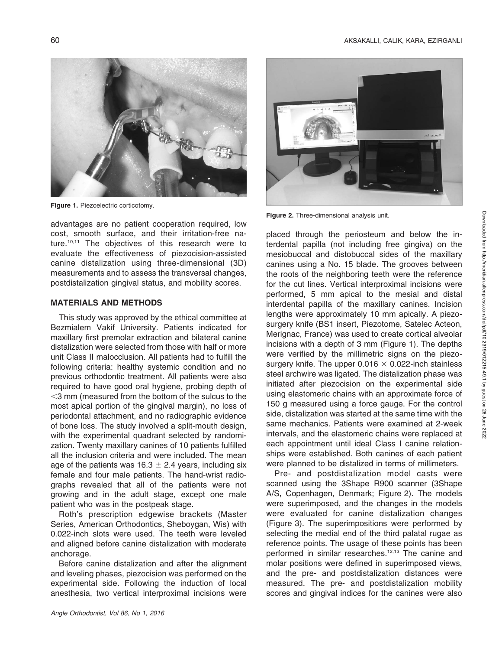

Figure 1. Piezoelectric corticotomy.

advantages are no patient cooperation required, low cost, smooth surface, and their irritation-free nature.<sup>10,11</sup> The objectives of this research were to evaluate the effectiveness of piezocision-assisted canine distalization using three-dimensional (3D) measurements and to assess the transversal changes, postdistalization gingival status, and mobility scores.

#### MATERIALS AND METHODS

This study was approved by the ethical committee at Bezmialem Vakif University. Patients indicated for maxillary first premolar extraction and bilateral canine distalization were selected from those with half or more unit Class II malocclusion. All patients had to fulfill the following criteria: healthy systemic condition and no previous orthodontic treatment. All patients were also required to have good oral hygiene, probing depth of  $<$ 3 mm (measured from the bottom of the sulcus to the most apical portion of the gingival margin), no loss of periodontal attachment, and no radiographic evidence of bone loss. The study involved a split-mouth design, with the experimental quadrant selected by randomization. Twenty maxillary canines of 10 patients fulfilled all the inclusion criteria and were included. The mean age of the patients was  $16.3 \pm 2.4$  years, including six female and four male patients. The hand-wrist radiographs revealed that all of the patients were not growing and in the adult stage, except one male patient who was in the postpeak stage.

Roth's prescription edgewise brackets (Master Series, American Orthodontics, Sheboygan, Wis) with 0.022-inch slots were used. The teeth were leveled and aligned before canine distalization with moderate anchorage.

Before canine distalization and after the alignment and leveling phases, piezocision was performed on the experimental side. Following the induction of local anesthesia, two vertical interproximal incisions were



Figure 2. Three-dimensional analysis unit.

placed through the periosteum and below the interdental papilla (not including free gingiva) on the mesiobuccal and distobuccal sides of the maxillary canines using a No. 15 blade. The grooves between the roots of the neighboring teeth were the reference for the cut lines. Vertical interproximal incisions were performed, 5 mm apical to the mesial and distal interdental papilla of the maxillary canines. Incision lengths were approximately 10 mm apically. A piezosurgery knife (BS1 insert, Piezotome, Satelec Acteon, Merignac, France) was used to create cortical alveolar incisions with a depth of 3 mm (Figure 1). The depths were verified by the millimetric signs on the piezosurgery knife. The upper  $0.016 \times 0.022$ -inch stainless steel archwire was ligated. The distalization phase was initiated after piezocision on the experimental side using elastomeric chains with an approximate force of 150 g measured using a force gauge. For the control side, distalization was started at the same time with the same mechanics. Patients were examined at 2-week intervals, and the elastomeric chains were replaced at each appointment until ideal Class I canine relationships were established. Both canines of each patient were planned to be distalized in terms of millimeters.

Pre- and postdistalization model casts were scanned using the 3Shape R900 scanner (3Shape A/S, Copenhagen, Denmark; Figure 2). The models were superimposed, and the changes in the models were evaluated for canine distalization changes (Figure 3). The superimpositions were performed by selecting the medial end of the third palatal rugae as reference points. The usage of these points has been performed in similar researches.<sup>12,13</sup> The canine and molar positions were defined in superimposed views, and the pre- and postdistalization distances were measured. The pre- and postdistalization mobility scores and gingival indices for the canines were also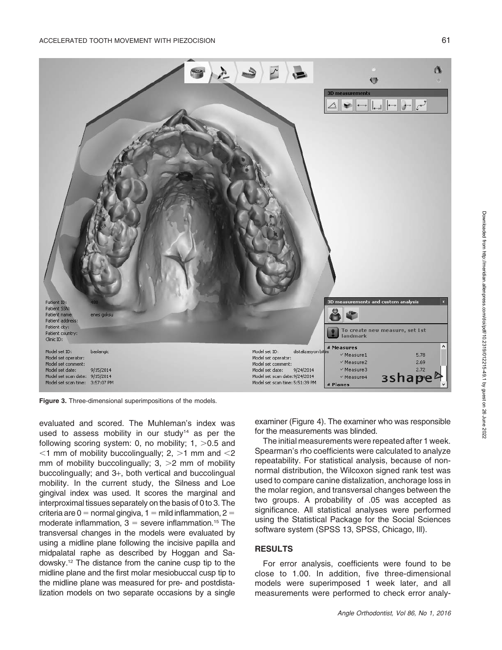

Figure 3. Three-dimensional superimpositions of the models.

evaluated and scored. The Muhleman's index was used to assess mobility in our study $14$  as per the following scoring system: 0, no mobility;  $1, >0.5$  and  $<$ 1 mm of mobility buccolingually; 2,  $>$ 1 mm and  $<$ 2 mm of mobility buccolingually;  $3$ ,  $>2$  mm of mobility buccolingually; and 3+, both vertical and buccolingual mobility. In the current study, the Silness and Loe gingival index was used. It scores the marginal and interproximal tissues separately on the basis of 0 to 3. The criteria are  $0 =$  normal gingiva, 1 = mild inflammation, 2 = moderate inflammation,  $3 =$  severe inflammation.<sup>15</sup> The transversal changes in the models were evaluated by using a midline plane following the incisive papilla and midpalatal raphe as described by Hoggan and Sadowsky.12 The distance from the canine cusp tip to the midline plane and the first molar mesiobuccal cusp tip to the midline plane was measured for pre- and postdistalization models on two separate occasions by a single examiner (Figure 4). The examiner who was responsible for the measurements was blinded.

The initial measurements were repeated after 1 week. Spearman's rho coefficients were calculated to analyze repeatability. For statistical analysis, because of nonnormal distribution, the Wilcoxon signed rank test was used to compare canine distalization, anchorage loss in the molar region, and transversal changes between the two groups. A probability of .05 was accepted as significance. All statistical analyses were performed using the Statistical Package for the Social Sciences software system (SPSS 13, SPSS, Chicago, Ill).

#### RESULTS

For error analysis, coefficients were found to be close to 1.00. In addition, five three-dimensional models were superimposed 1 week later, and all measurements were performed to check error analy-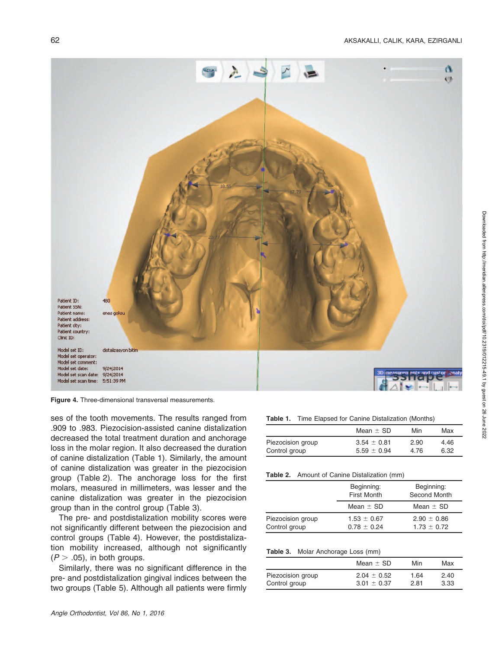

Figure 4. Three-dimensional transversal measurements.

ses of the tooth movements. The results ranged from .909 to .983. Piezocision-assisted canine distalization decreased the total treatment duration and anchorage loss in the molar region. It also decreased the duration of canine distalization (Table 1). Similarly, the amount of canine distalization was greater in the piezocision group (Table 2). The anchorage loss for the first molars, measured in millimeters, was lesser and the canine distalization was greater in the piezocision group than in the control group (Table 3).

The pre- and postdistalization mobility scores were not significantly different between the piezocision and control groups (Table 4). However, the postdistalization mobility increased, although not significantly  $(P > .05)$ , in both groups.

Similarly, there was no significant difference in the pre- and postdistalization gingival indices between the two groups (Table 5). Although all patients were firmly

Table 1. Time Elapsed for Canine Distalization (Months)

|                   | Mean $\pm$ SD   | Min  | Max  |
|-------------------|-----------------|------|------|
| Piezocision group | $3.54 \pm 0.81$ | 2.90 | 4.46 |
| Control group     | $5.59 \pm 0.94$ | 4.76 | 6.32 |

Table 2. Amount of Canine Distalization (mm)

|                                    | Beginning:<br><b>First Month</b>   | Beginning:<br>Second Month         |  |  |
|------------------------------------|------------------------------------|------------------------------------|--|--|
|                                    | Mean $\pm$ SD                      | Mean $\pm$ SD                      |  |  |
| Piezocision group<br>Control group | $1.53 \pm 0.67$<br>$0.78 \pm 0.24$ | $2.90 \pm 0.86$<br>$1.73 \pm 0.72$ |  |  |

Table 3. Molar Anchorage Loss (mm)

|                   | Mean $\pm$ SD   | Min  | Max  |
|-------------------|-----------------|------|------|
| Piezocision group | $2.04 \pm 0.52$ | 1.64 | 2.40 |
| Control group     | $3.01 \pm 0.37$ | 2.81 | 3.33 |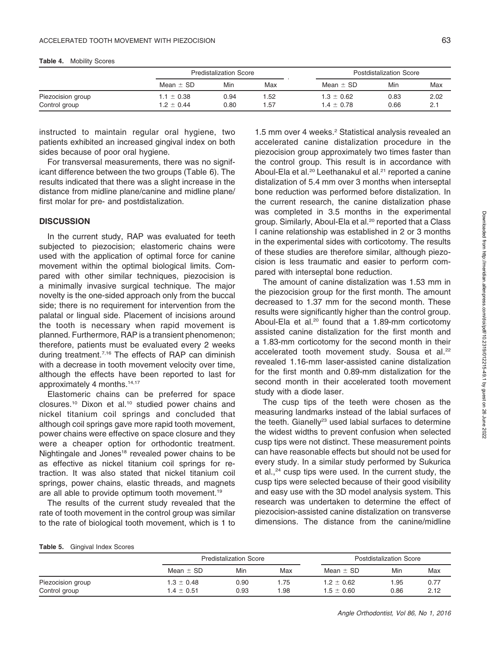|                   | <b>Predistalization Score</b> |      |      | Postdistalization Score |      |      |
|-------------------|-------------------------------|------|------|-------------------------|------|------|
|                   | Mean $\pm$ SD                 | Min  | Max  | Mean $\pm$ SD           | Min  | Max  |
| Piezocision group | $1.1 \pm 0.38$                | 0.94 | 1.52 | $1.3 \pm 0.62$          | 0.83 | 2.02 |
| Control group     | $1.2 \pm 0.44$                | 0.80 | 1.57 | $1.4 \pm 0.78$          | 0.66 | 2.1  |

Table 4. Mobility Scores

instructed to maintain regular oral hygiene, two patients exhibited an increased gingival index on both sides because of poor oral hygiene.

For transversal measurements, there was no significant difference between the two groups (Table 6). The results indicated that there was a slight increase in the distance from midline plane/canine and midline plane/ first molar for pre- and postdistalization.

## **DISCUSSION**

In the current study, RAP was evaluated for teeth subjected to piezocision; elastomeric chains were used with the application of optimal force for canine movement within the optimal biological limits. Compared with other similar techniques, piezocision is a minimally invasive surgical technique. The major novelty is the one-sided approach only from the buccal side; there is no requirement for intervention from the palatal or lingual side. Placement of incisions around the tooth is necessary when rapid movement is planned. Furthermore, RAP is a transient phenomenon; therefore, patients must be evaluated every 2 weeks during treatment.<sup>7,16</sup> The effects of RAP can diminish with a decrease in tooth movement velocity over time, although the effects have been reported to last for approximately 4 months.14,17

Elastomeric chains can be preferred for space closures.<sup>10</sup> Dixon et al.<sup>10</sup> studied power chains and nickel titanium coil springs and concluded that although coil springs gave more rapid tooth movement, power chains were effective on space closure and they were a cheaper option for orthodontic treatment. Nightingale and Jones<sup>18</sup> revealed power chains to be as effective as nickel titanium coil springs for retraction. It was also stated that nickel titanium coil springs, power chains, elastic threads, and magnets are all able to provide optimum tooth movement.<sup>19</sup>

The results of the current study revealed that the rate of tooth movement in the control group was similar to the rate of biological tooth movement, which is 1 to

1.5 mm over 4 weeks.<sup>2</sup> Statistical analysis revealed an accelerated canine distalization procedure in the piezocision group approximately two times faster than the control group. This result is in accordance with Aboul-Ela et al.<sup>20</sup> Leethanakul et al.<sup>21</sup> reported a canine distalization of 5.4 mm over 3 months when interseptal bone reduction was performed before distalization. In the current research, the canine distalization phase was completed in 3.5 months in the experimental group. Similarly, Aboul-Ela et al.<sup>20</sup> reported that a Class I canine relationship was established in 2 or 3 months in the experimental sides with corticotomy. The results of these studies are therefore similar, although piezocision is less traumatic and easier to perform compared with interseptal bone reduction.

The amount of canine distalization was 1.53 mm in the piezocision group for the first month. The amount decreased to 1.37 mm for the second month. These results were significantly higher than the control group. Aboul-Ela et al.<sup>20</sup> found that a 1.89-mm corticotomy assisted canine distalization for the first month and a 1.83-mm corticotomy for the second month in their accelerated tooth movement study. Sousa et al.<sup>22</sup> revealed 1.16-mm laser-assisted canine distalization for the first month and 0.89-mm distalization for the second month in their accelerated tooth movement study with a diode laser.

The cusp tips of the teeth were chosen as the measuring landmarks instead of the labial surfaces of the teeth. Gianelly<sup>23</sup> used labial surfaces to determine the widest widths to prevent confusion when selected cusp tips were not distinct. These measurement points can have reasonable effects but should not be used for every study. In a similar study performed by Sukurica et al.,<sup>24</sup> cusp tips were used. In the current study, the cusp tips were selected because of their good visibility and easy use with the 3D model analysis system. This research was undertaken to determine the effect of piezocision-assisted canine distalization on transverse dimensions. The distance from the canine/midline

|                   |                | <b>Predistalization Score</b> |      |                | Postdistalization Score |      |
|-------------------|----------------|-------------------------------|------|----------------|-------------------------|------|
|                   | Mean $\pm$ SD  | Min                           | Max  | Mean $\pm$ SD  | Min                     | Max  |
| Piezocision group | $1.3 \pm 0.48$ | 0.90                          | 1.75 | $1.2 \pm 0.62$ | 1.95                    | 0.77 |
| Control group     | $1.4 \pm 0.51$ | 0.93                          | 1.98 | $1.5 \pm 0.60$ | 0.86                    | 2.12 |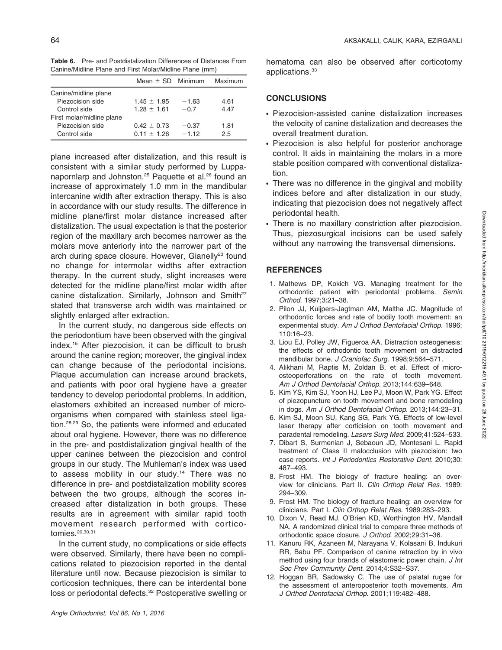Table 6. Pre- and Postdistalization Differences of Distances From Canine/Midline Plane and First Molar/Midline Plane (mm)

|                           | Mean $\pm$ SD Minimum |         | Maximum |
|---------------------------|-----------------------|---------|---------|
| Canine/midline plane      |                       |         |         |
| Piezocision side          | $1.45 \pm 1.95$       | $-1.63$ | 4.61    |
| Control side              | $1.28 + 1.61$         | $-0.7$  | 4.47    |
| First molar/midline plane |                       |         |         |
| Piezocision side          | $0.42 + 0.73$         | $-0.37$ | 1.81    |
| Control side              | $0.11 + 1.26$         | $-1.12$ | 2.5     |

plane increased after distalization, and this result is consistent with a similar study performed by Luppanapornlarp and Johnston.<sup>25</sup> Paquette et al.<sup>26</sup> found an increase of approximately 1.0 mm in the mandibular intercanine width after extraction therapy. This is also in accordance with our study results. The difference in midline plane/first molar distance increased after distalization. The usual expectation is that the posterior region of the maxillary arch becomes narrower as the molars move anteriorly into the narrower part of the arch during space closure. However, Gianelly<sup>23</sup> found no change for intermolar widths after extraction therapy. In the current study, slight increases were detected for the midline plane/first molar width after canine distalization. Similarly, Johnson and Smith<sup>27</sup> stated that transverse arch width was maintained or slightly enlarged after extraction.

In the current study, no dangerous side effects on the periodontium have been observed with the gingival index.15 After piezocision, it can be difficult to brush around the canine region; moreover, the gingival index can change because of the periodontal incisions. Plaque accumulation can increase around brackets, and patients with poor oral hygiene have a greater tendency to develop periodontal problems. In addition, elastomers exhibited an increased number of microorganisms when compared with stainless steel ligation.28,29 So, the patients were informed and educated about oral hygiene. However, there was no difference in the pre- and postdistalization gingival health of the upper canines between the piezocision and control groups in our study. The Muhleman's index was used to assess mobility in our study.<sup>14</sup> There was no difference in pre- and postdistalization mobility scores between the two groups, although the scores increased after distalization in both groups. These results are in agreement with similar rapid tooth movement research performed with corticotomies.20,30,31

In the current study, no complications or side effects were observed. Similarly, there have been no complications related to piezocision reported in the dental literature until now. Because piezocision is similar to corticosion techniques, there can be interdental bone loss or periodontal defects.<sup>32</sup> Postoperative swelling or hematoma can also be observed after corticotomy applications.<sup>33</sup>

## **CONCLUSIONS**

- Piezocision-assisted canine distalization increases the velocity of canine distalization and decreases the overall treatment duration.
- Piezocision is also helpful for posterior anchorage control. It aids in maintaining the molars in a more stable position compared with conventional distalization.
- There was no difference in the gingival and mobility indices before and after distalization in our study, indicating that piezocision does not negatively affect periodontal health.
- There is no maxillary constriction after piezocision. Thus, piezosurgical incisions can be used safely without any narrowing the transversal dimensions.

# **REFERENCES**

- 1. Mathews DP, Kokich VG. Managing treatment for the orthodontic patient with periodontal problems. Semin Orthod. 1997;3:21–38.
- 2. Pilon JJ, Kuijpers-Jagtman AM, Maltha JC. Magnitude of orthodontic forces and rate of bodily tooth movement: an experimental study. Am J Orthod Dentofacial Orthop. 1996; 110:16–23.
- 3. Liou EJ, Polley JW, Figueroa AA. Distraction osteogenesis: the effects of orthodontic tooth movement on distracted mandibular bone. J Craniofac Surg. 1998;9:564-571.
- 4. Alikhani M, Raptis M, Zoldan B, et al. Effect of microosteoperforations on the rate of tooth movement. Am J Orthod Dentofacial Orthop. 2013;144:639–648.
- 5. Kim YS, Kim SJ, Yoon HJ, Lee PJ, Moon W, Park YG. Effect of piezopuncture on tooth movement and bone remodeling in dogs. Am J Orthod Dentofacial Orthop. 2013;144:23–31.
- 6. Kim SJ, Moon SU, Kang SG, Park YG. Effects of low-level laser therapy after corticision on tooth movement and paradental remodeling. Lasers Surg Med. 2009;41:524–533.
- 7. Dibart S, Surmenian J, Sebaoun JD, Montesani L. Rapid treatment of Class II malocclusion with piezocision: two case reports. Int J Periodontics Restorative Dent. 2010;30: 487–493.
- 8. Frost HM. The biology of fracture healing: an overview for clinicians. Part II. Clin Orthop Relat Res. 1989: 294–309.
- 9. Frost HM. The biology of fracture healing: an overview for clinicians. Part I. Clin Orthop Relat Res. 1989:283–293.
- 10. Dixon V, Read MJ, O'Brien KD, Worthington HV, Mandall NA. A randomized clinical trial to compare three methods of orthodontic space closure. J Orthod. 2002;29:31–36.
- 11. Kanuru RK, Azaneen M, Narayana V, Kolasani B, Indukuri RR, Babu PF. Comparison of canine retraction by in vivo method using four brands of elastomeric power chain. J Int Soc Prev Community Dent. 2014;4:S32–S37.
- 12. Hoggan BR, Sadowsky C. The use of palatal rugae for the assessment of anteroposterior tooth movements. Am J Orthod Dentofacial Orthop. 2001;119:482–488.